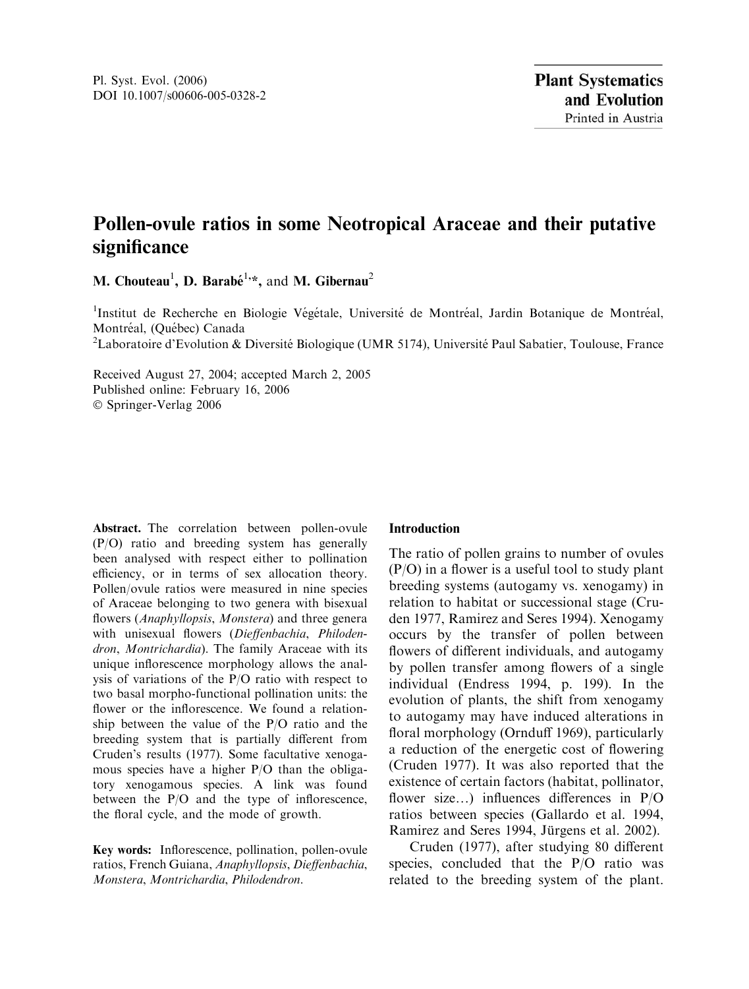# Pollen-ovule ratios in some Neotropical Araceae and their putative significance

M. Chouteau<sup>1</sup>, D. Barabé<sup>1,\*</sup>, and M. Gibernau<sup>2</sup>

<sup>1</sup>Institut de Recherche en Biologie Végétale, Université de Montréal, Jardin Botanique de Montréal, Montréal, (Québec) Canada

<sup>2</sup>Laboratoire d'Evolution & Diversité Biologique (UMR 5174), Université Paul Sabatier, Toulouse, France

Received August 27, 2004; accepted March 2, 2005 Published online: February 16, 2006 Springer-Verlag 2006

Abstract. The correlation between pollen-ovule (P/O) ratio and breeding system has generally been analysed with respect either to pollination efficiency, or in terms of sex allocation theory. Pollen/ovule ratios were measured in nine species of Araceae belonging to two genera with bisexual flowers (Anaphyllopsis, Monstera) and three genera with unisexual flowers (Dieffenbachia, Philodendron, Montrichardia). The family Araceae with its unique inflorescence morphology allows the analysis of variations of the P/O ratio with respect to two basal morpho-functional pollination units: the flower or the inflorescence. We found a relationship between the value of the P/O ratio and the breeding system that is partially different from Cruden's results (1977). Some facultative xenogamous species have a higher P/O than the obligatory xenogamous species. A link was found between the P/O and the type of inflorescence, the floral cycle, and the mode of growth.

Key words: Inflorescence, pollination, pollen-ovule ratios, French Guiana, Anaphyllopsis, Dieffenbachia, Monstera, Montrichardia, Philodendron.

## Introduction

The ratio of pollen grains to number of ovules (P/O) in a flower is a useful tool to study plant breeding systems (autogamy vs. xenogamy) in relation to habitat or successional stage (Cruden 1977, Ramirez and Seres 1994). Xenogamy occurs by the transfer of pollen between flowers of different individuals, and autogamy by pollen transfer among flowers of a single individual (Endress 1994, p. 199). In the evolution of plants, the shift from xenogamy to autogamy may have induced alterations in floral morphology (Ornduff 1969), particularly a reduction of the energetic cost of flowering (Cruden 1977). It was also reported that the existence of certain factors (habitat, pollinator, flower size…) influences differences in P/O ratios between species (Gallardo et al. 1994, Ramirez and Seres 1994, Jürgens et al. 2002).

Cruden (1977), after studying 80 different species, concluded that the P/O ratio was related to the breeding system of the plant.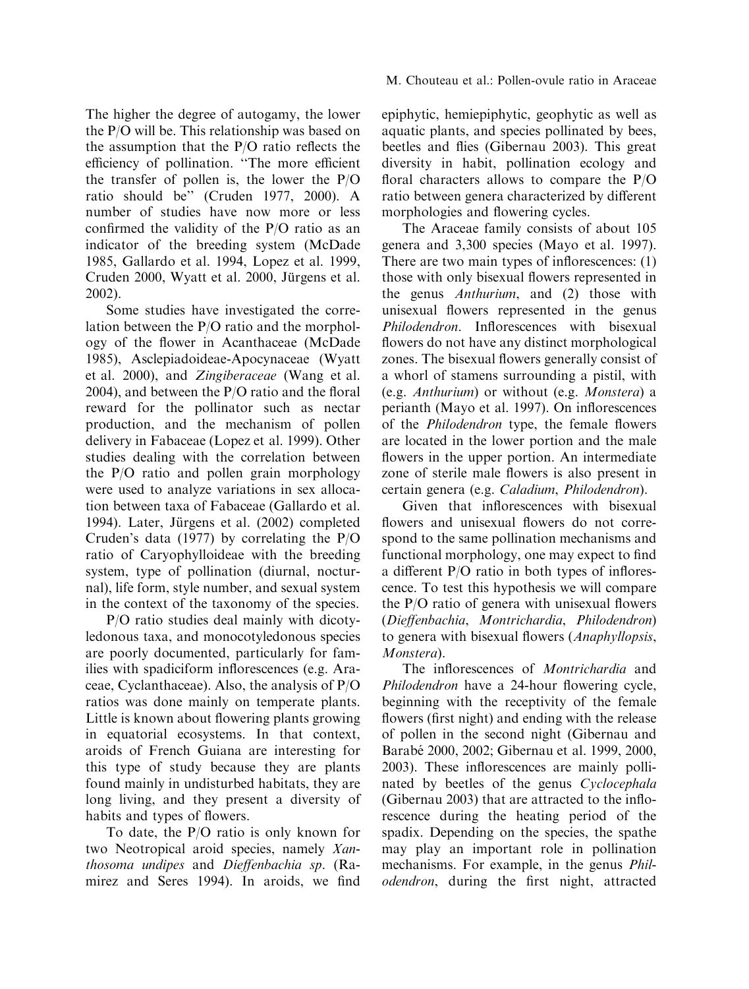The higher the degree of autogamy, the lower the P/O will be. This relationship was based on the assumption that the P/O ratio reflects the efficiency of pollination. ''The more efficient the transfer of pollen is, the lower the P/O ratio should be'' (Cruden 1977, 2000). A number of studies have now more or less confirmed the validity of the P/O ratio as an indicator of the breeding system (McDade 1985, Gallardo et al. 1994, Lopez et al. 1999, Cruden 2000, Wyatt et al. 2000, Jürgens et al. 2002).

Some studies have investigated the correlation between the P/O ratio and the morphology of the flower in Acanthaceae (McDade 1985), Asclepiadoideae-Apocynaceae (Wyatt et al. 2000), and Zingiberaceae (Wang et al. 2004), and between the P/O ratio and the floral reward for the pollinator such as nectar production, and the mechanism of pollen delivery in Fabaceae (Lopez et al. 1999). Other studies dealing with the correlation between the P/O ratio and pollen grain morphology were used to analyze variations in sex allocation between taxa of Fabaceae (Gallardo et al. 1994). Later, Jürgens et al. (2002) completed Cruden's data (1977) by correlating the P/O ratio of Caryophylloideae with the breeding system, type of pollination (diurnal, nocturnal), life form, style number, and sexual system in the context of the taxonomy of the species.

P/O ratio studies deal mainly with dicotyledonous taxa, and monocotyledonous species are poorly documented, particularly for families with spadiciform inflorescences (e.g. Araceae, Cyclanthaceae). Also, the analysis of P/O ratios was done mainly on temperate plants. Little is known about flowering plants growing in equatorial ecosystems. In that context, aroids of French Guiana are interesting for this type of study because they are plants found mainly in undisturbed habitats, they are long living, and they present a diversity of habits and types of flowers.

To date, the P/O ratio is only known for two Neotropical aroid species, namely Xanthosoma undipes and Dieffenbachia sp. (Ramirez and Seres 1994). In aroids, we find epiphytic, hemiepiphytic, geophytic as well as aquatic plants, and species pollinated by bees, beetles and flies (Gibernau 2003). This great diversity in habit, pollination ecology and floral characters allows to compare the  $P/O$ ratio between genera characterized by different morphologies and flowering cycles.

The Araceae family consists of about 105 genera and 3,300 species (Mayo et al. 1997). There are two main types of inflorescences: (1) those with only bisexual flowers represented in the genus Anthurium, and (2) those with unisexual flowers represented in the genus Philodendron. Inflorescences with bisexual flowers do not have any distinct morphological zones. The bisexual flowers generally consist of a whorl of stamens surrounding a pistil, with (e.g. Anthurium) or without (e.g. Monstera) a perianth (Mayo et al. 1997). On inflorescences of the Philodendron type, the female flowers are located in the lower portion and the male flowers in the upper portion. An intermediate zone of sterile male flowers is also present in certain genera (e.g. Caladium, Philodendron).

Given that inflorescences with bisexual flowers and unisexual flowers do not correspond to the same pollination mechanisms and functional morphology, one may expect to find a different P/O ratio in both types of inflorescence. To test this hypothesis we will compare the P/O ratio of genera with unisexual flowers (Dieffenbachia, Montrichardia, Philodendron) to genera with bisexual flowers (Anaphyllopsis, Monstera).

The inflorescences of Montrichardia and Philodendron have a 24-hour flowering cycle, beginning with the receptivity of the female flowers (first night) and ending with the release of pollen in the second night (Gibernau and Barabé 2000, 2002; Gibernau et al. 1999, 2000, 2003). These inflorescences are mainly pollinated by beetles of the genus Cyclocephala (Gibernau 2003) that are attracted to the inflorescence during the heating period of the spadix. Depending on the species, the spathe may play an important role in pollination mechanisms. For example, in the genus Philodendron, during the first night, attracted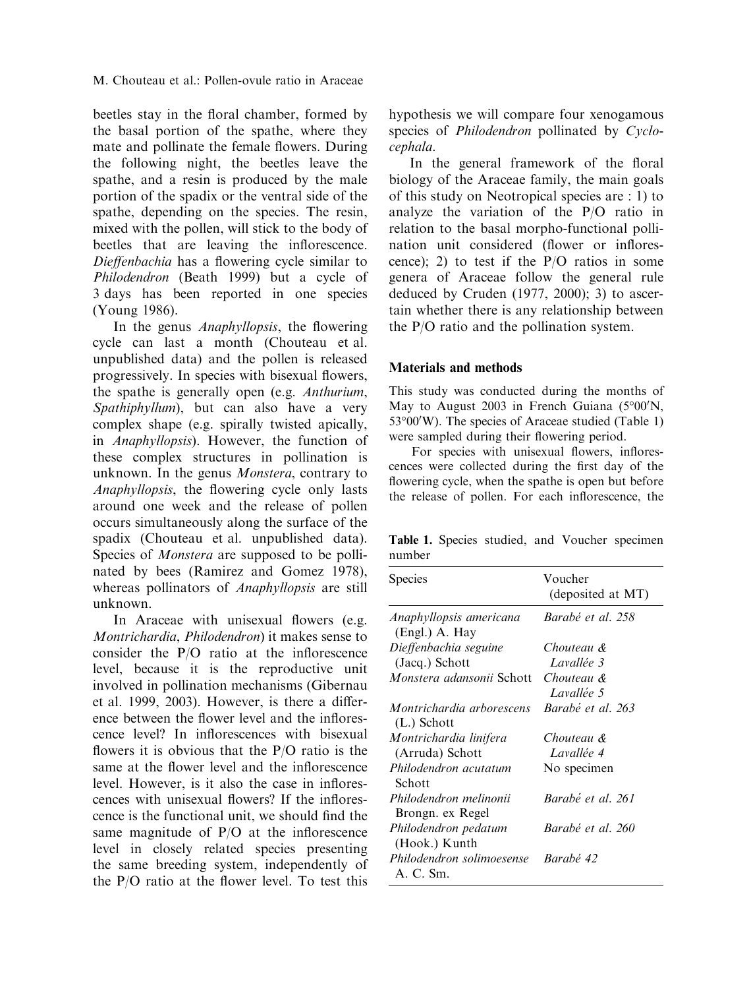M. Chouteau et al.: Pollen-ovule ratio in Araceae

beetles stay in the floral chamber, formed by the basal portion of the spathe, where they mate and pollinate the female flowers. During the following night, the beetles leave the spathe, and a resin is produced by the male portion of the spadix or the ventral side of the spathe, depending on the species. The resin, mixed with the pollen, will stick to the body of beetles that are leaving the inflorescence. Dieffenbachia has a flowering cycle similar to Philodendron (Beath 1999) but a cycle of 3 days has been reported in one species (Young 1986).

In the genus Anaphyllopsis, the flowering cycle can last a month (Chouteau et al. unpublished data) and the pollen is released progressively. In species with bisexual flowers, the spathe is generally open (e.g. Anthurium, Spathiphyllum), but can also have a very complex shape (e.g. spirally twisted apically, in Anaphyllopsis). However, the function of these complex structures in pollination is unknown. In the genus Monstera, contrary to Anaphyllopsis, the flowering cycle only lasts around one week and the release of pollen occurs simultaneously along the surface of the spadix (Chouteau et al. unpublished data). Species of Monstera are supposed to be pollinated by bees (Ramirez and Gomez 1978), whereas pollinators of Anaphyllopsis are still unknown.

In Araceae with unisexual flowers (e.g. Montrichardia, Philodendron) it makes sense to consider the P/O ratio at the inflorescence level, because it is the reproductive unit involved in pollination mechanisms (Gibernau et al. 1999, 2003). However, is there a difference between the flower level and the inflorescence level? In inflorescences with bisexual flowers it is obvious that the P/O ratio is the same at the flower level and the inflorescence level. However, is it also the case in inflorescences with unisexual flowers? If the inflorescence is the functional unit, we should find the same magnitude of P/O at the inflorescence level in closely related species presenting the same breeding system, independently of the P/O ratio at the flower level. To test this

hypothesis we will compare four xenogamous species of Philodendron pollinated by Cyclocephala.

In the general framework of the floral biology of the Araceae family, the main goals of this study on Neotropical species are : 1) to analyze the variation of the P/O ratio in relation to the basal morpho-functional pollination unit considered (flower or inflorescence); 2) to test if the P/O ratios in some genera of Araceae follow the general rule deduced by Cruden (1977, 2000); 3) to ascertain whether there is any relationship between the P/O ratio and the pollination system.

## Materials and methods

This study was conducted during the months of May to August 2003 in French Guiana (5°00'N, 53°00'W). The species of Araceae studied (Table 1) were sampled during their flowering period.

For species with unisexual flowers, inflorescences were collected during the first day of the flowering cycle, when the spathe is open but before the release of pollen. For each inflorescence, the

Table 1. Species studied, and Voucher specimen number

| <b>Species</b>                             | Voucher<br>(deposited at MT) |
|--------------------------------------------|------------------------------|
| Anaphyllopsis americana<br>(Engl.) A. Hay  | Barabé et al. 258            |
| Dieffenbachia seguine<br>(Jacq.) Schott    | Chouteau &<br>Lavallée 3     |
| <i>Monstera adansonii</i> Schott           | Chouteau &<br>Lavallée 5     |
| Montrichardia arborescens<br>$(L.)$ Schott | Barabé et al. 263            |
| Montrichardia linifera<br>(Arruda) Schott  | Chouteau &<br>Lavallée 4     |
| Philodendron acutatum<br>Schott            | No specimen                  |
| Philodendron melinonii<br>Brongn. ex Regel | Barabé et al. 261            |
| Philodendron pedatum<br>(Hook.) Kunth      | Barabé et al. 260            |
| Philodendron solimoesense<br>A. C. Sm.     | Barabé 42                    |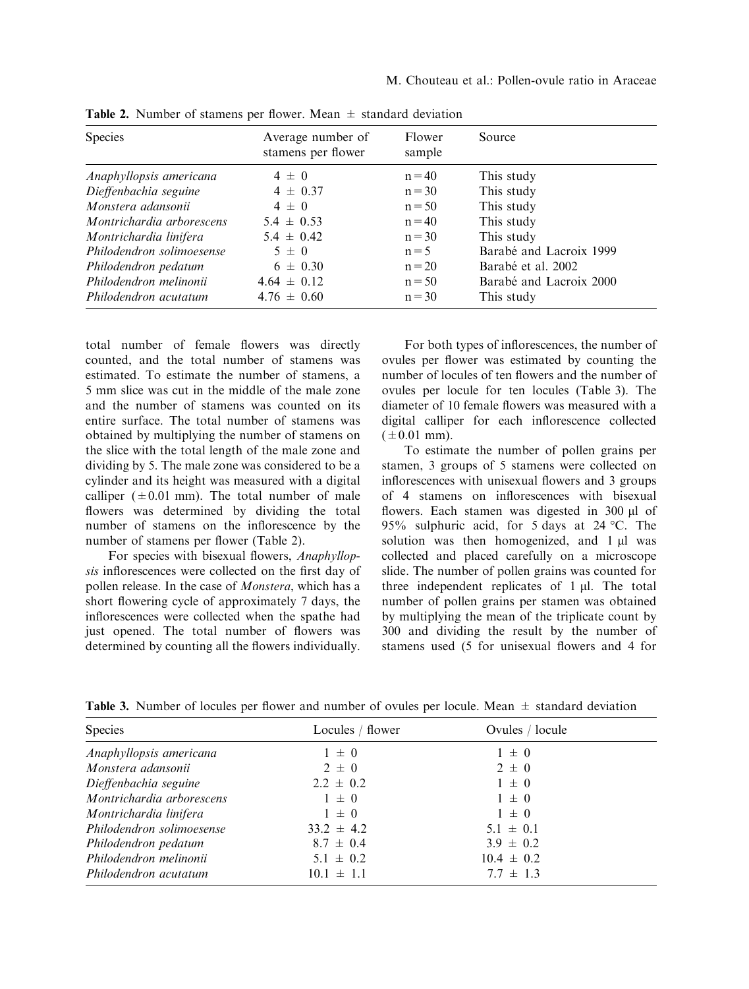| Species                   | Average number of<br>stamens per flower | Flower<br>sample | Source                  |
|---------------------------|-----------------------------------------|------------------|-------------------------|
| Anaphyllopsis americana   | $4 \pm 0$                               | $n = 40$         | This study              |
| Dieffenbachia seguine     | $4 \pm 0.37$                            | $n = 30$         | This study              |
| Monstera adansonii        | $4 \pm 0$                               | $n = 50$         | This study              |
| Montrichardia arborescens | $5.4 \pm 0.53$                          | $n = 40$         | This study              |
| Montrichardia linifera    | $5.4 \pm 0.42$                          | $n = 30$         | This study              |
| Philodendron solimoesense | $5 \pm 0$                               | $n = 5$          | Barabé and Lacroix 1999 |
| Philodendron pedatum      | $6 \pm 0.30$                            | $n = 20$         | Barabé et al. 2002      |
| Philodendron melinonii    | $4.64 \pm 0.12$                         | $n = 50$         | Barabé and Lacroix 2000 |
| Philodendron acutatum     | $4.76 \pm 0.60$                         | $n = 30$         | This study              |

**Table 2.** Number of stamens per flower. Mean  $\pm$  standard deviation

total number of female flowers was directly counted, and the total number of stamens was estimated. To estimate the number of stamens, a 5 mm slice was cut in the middle of the male zone and the number of stamens was counted on its entire surface. The total number of stamens was obtained by multiplying the number of stamens on the slice with the total length of the male zone and dividing by 5. The male zone was considered to be a cylinder and its height was measured with a digital calliper  $(\pm 0.01 \text{ mm})$ . The total number of male flowers was determined by dividing the total number of stamens on the inflorescence by the number of stamens per flower (Table 2).

For species with bisexual flowers, Anaphyllopsis inflorescences were collected on the first day of pollen release. In the case of Monstera, which has a short flowering cycle of approximately 7 days, the inflorescences were collected when the spathe had just opened. The total number of flowers was determined by counting all the flowers individually.

For both types of inflorescences, the number of ovules per flower was estimated by counting the number of locules of ten flowers and the number of ovules per locule for ten locules (Table 3). The diameter of 10 female flowers was measured with a digital calliper for each inflorescence collected  $(±0.01$  mm).

To estimate the number of pollen grains per stamen, 3 groups of 5 stamens were collected on inflorescences with unisexual flowers and 3 groups of 4 stamens on inflorescences with bisexual flowers. Each stamen was digested in 300 µl of 95% sulphuric acid, for 5 days at 24 °C. The solution was then homogenized, and  $1 \mu l$  was collected and placed carefully on a microscope slide. The number of pollen grains was counted for three independent replicates of  $1 \mu l$ . The total number of pollen grains per stamen was obtained by multiplying the mean of the triplicate count by 300 and dividing the result by the number of stamens used (5 for unisexual flowers and 4 for

| Species                   | Locules / flower | Ovules / locule |  |
|---------------------------|------------------|-----------------|--|
| Anaphyllopsis americana   | $1 \pm 0$        | $1 \pm 0$       |  |
| Monstera adansonii        | $2 \pm 0$        | $2 \pm 0$       |  |
| Dieffenbachia seguine     | $2.2 \pm 0.2$    | $1 \pm 0$       |  |
| Montrichardia arborescens | $1 \pm 0$        | $1 \pm 0$       |  |
| Montrichardia linifera    | $1 \pm 0$        | $1 \pm 0$       |  |
| Philodendron solimoesense | $33.2 \pm 4.2$   | $5.1 \pm 0.1$   |  |
| Philodendron pedatum      | $8.7 \pm 0.4$    | $3.9 \pm 0.2$   |  |
| Philodendron melinonii    | $5.1 \pm 0.2$    | $10.4 \pm 0.2$  |  |
| Philodendron acutatum     | $10.1 \pm 1.1$   | $7.7 \pm 1.3$   |  |

**Table 3.** Number of locules per flower and number of ovules per locule. Mean  $\pm$  standard deviation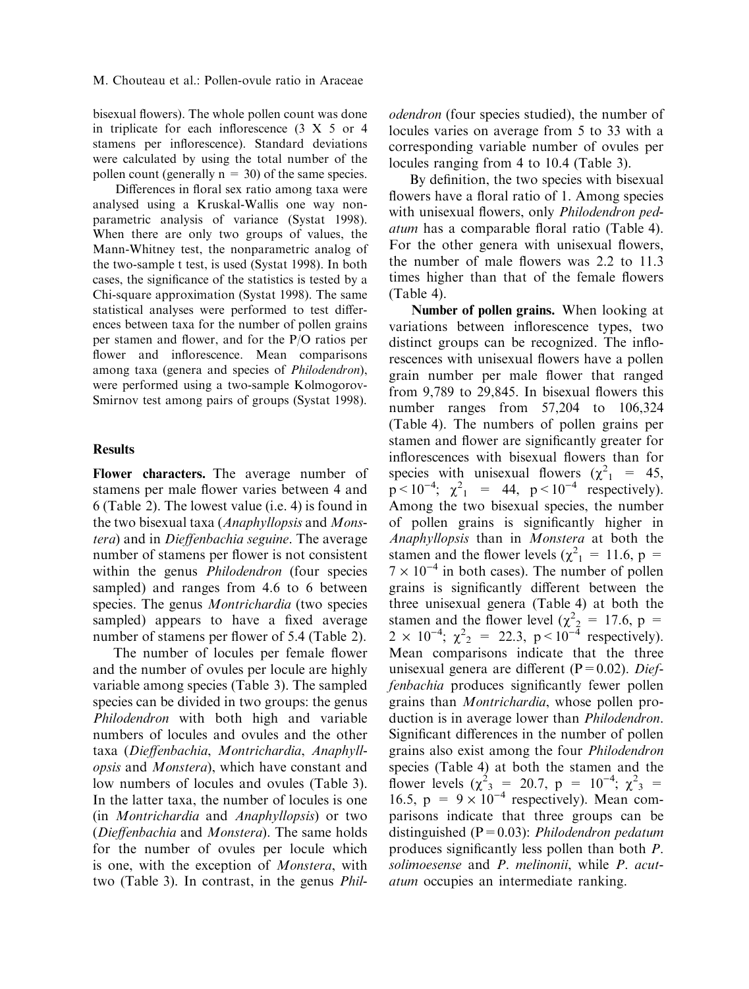bisexual flowers). The whole pollen count was done in triplicate for each inflorescence (3 X 5 or 4 stamens per inflorescence). Standard deviations were calculated by using the total number of the pollen count (generally  $n = 30$ ) of the same species.

Differences in floral sex ratio among taxa were analysed using a Kruskal-Wallis one way nonparametric analysis of variance (Systat 1998). When there are only two groups of values, the Mann-Whitney test, the nonparametric analog of the two-sample t test, is used (Systat 1998). In both cases, the significance of the statistics is tested by a Chi-square approximation (Systat 1998). The same statistical analyses were performed to test differences between taxa for the number of pollen grains per stamen and flower, and for the P/O ratios per flower and inflorescence. Mean comparisons among taxa (genera and species of Philodendron), were performed using a two-sample Kolmogorov-Smirnov test among pairs of groups (Systat 1998).

#### **Results**

Flower characters. The average number of stamens per male flower varies between 4 and 6 (Table 2). The lowest value (i.e. 4) is found in the two bisexual taxa (Anaphyllopsis and Monstera) and in Dieffenbachia seguine. The average number of stamens per flower is not consistent within the genus *Philodendron* (four species sampled) and ranges from 4.6 to 6 between species. The genus *Montrichardia* (two species sampled) appears to have a fixed average number of stamens per flower of 5.4 (Table 2).

The number of locules per female flower and the number of ovules per locule are highly variable among species (Table 3). The sampled species can be divided in two groups: the genus Philodendron with both high and variable numbers of locules and ovules and the other taxa (Dieffenbachia, Montrichardia, Anaphyllopsis and Monstera), which have constant and low numbers of locules and ovules (Table 3). In the latter taxa, the number of locules is one (in Montrichardia and Anaphyllopsis) or two (Dieffenbachia and Monstera). The same holds for the number of ovules per locule which is one, with the exception of Monstera, with two (Table 3). In contrast, in the genus Philodendron (four species studied), the number of locules varies on average from 5 to 33 with a corresponding variable number of ovules per locules ranging from 4 to 10.4 (Table 3).

By definition, the two species with bisexual flowers have a floral ratio of 1. Among species with unisexual flowers, only Philodendron pedatum has a comparable floral ratio (Table 4). For the other genera with unisexual flowers, the number of male flowers was 2.2 to 11.3 times higher than that of the female flowers (Table 4).

Number of pollen grains. When looking at variations between inflorescence types, two distinct groups can be recognized. The inflorescences with unisexual flowers have a pollen grain number per male flower that ranged from 9,789 to 29,845. In bisexual flowers this number ranges from 57,204 to 106,324 (Table 4). The numbers of pollen grains per stamen and flower are significantly greater for inflorescences with bisexual flowers than for species with unisexual flowers  $(\chi^2)$  = 45,  $p < 10^{-4}$ ;  $\chi^2_{1}$  = 44,  $p < 10^{-4}$  respectively). Among the two bisexual species, the number of pollen grains is significantly higher in Anaphyllopsis than in Monstera at both the stamen and the flower levels ( $\chi^2$ <sub>1</sub> = 11.6, p =  $7 \times 10^{-4}$  in both cases). The number of pollen grains is significantly different between the three unisexual genera (Table 4) at both the stamen and the flower level ( $\chi^2$ <sub>2</sub> = 17.6, p =  $2 \times 10^{-4}$ ;  $\chi^2$ <sub>2</sub> = 22.3, p <  $10^{-4}$  respectively). Mean comparisons indicate that the three unisexual genera are different ( $P=0.02$ ). Dieffenbachia produces significantly fewer pollen grains than Montrichardia, whose pollen production is in average lower than Philodendron. Significant differences in the number of pollen grains also exist among the four Philodendron species (Table 4) at both the stamen and the flower levels ( $\chi^2$ <sub>3</sub> = 20.7, p = 10<sup>-4</sup>;  $\chi^2$ <sub>3</sub> = 16.5,  $p = 9 \times 10^{-4}$  respectively). Mean comparisons indicate that three groups can be distinguished ( $P=0.03$ ): *Philodendron pedatum* produces significantly less pollen than both P. solimoesense and P. melinonii, while P. acutatum occupies an intermediate ranking.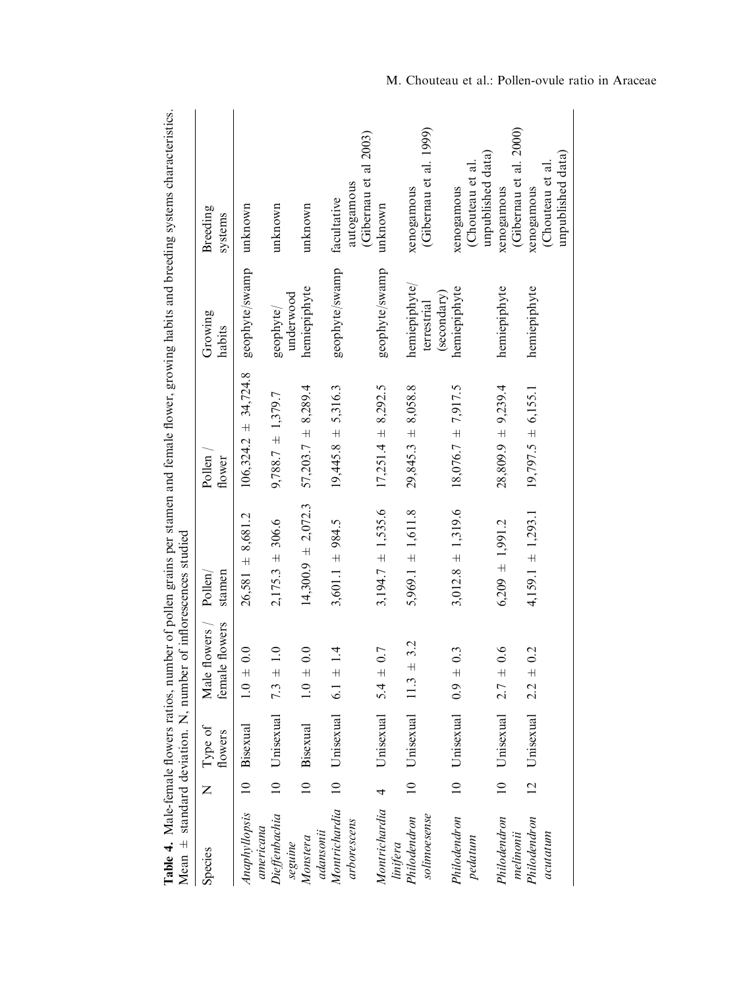|                                           |                 |                         | Mean $\pm$ standard deviation. N, number of inflorescences studied |                        |                          |                              | Table 4. Male-female flowers ratios, number of pollen grains per stamen and female flower, growing habits and breeding systems characteristics. |
|-------------------------------------------|-----------------|-------------------------|--------------------------------------------------------------------|------------------------|--------------------------|------------------------------|-------------------------------------------------------------------------------------------------------------------------------------------------|
| Species                                   | Z               | Type of<br>flowers      | le flowers<br>Male flowers<br>femal                                | stamen<br>Pollen/      | Pollen<br>flower         | Growing<br>habits            | Breeding<br>systems                                                                                                                             |
| Anaphyllopsis                             | $\supseteq$     | Bisexual                | $1.0 \pm 0.0$                                                      | $26,581 \pm 8,681.2$   | $106,324.2 \pm 34,724.8$ | geophyte/swamp               | unknown                                                                                                                                         |
| Dieffenbachia<br>americana                | $\overline{a}$  | Unisexual               | 1.0<br>7.3 $\pm$                                                   | $2,175.3 \pm 306.6$    | $9,788.7 \pm 1,379.7$    | geophyte/                    | unknown                                                                                                                                         |
| Monstera<br>seguine                       |                 | 10 Bisexual             | 0.0<br>$1.0 \pm$                                                   | $14,300.9 \pm 2,072.3$ | $57,203.7$ $\pm$ 8,289.4 | hemiepiphyte<br>underwood    | unknown                                                                                                                                         |
| Montrichardia<br>arborescens<br>adansonii | $\overline{10}$ | Unisexual               | 1.4<br>$6.1 +$                                                     | $3,601.1 \pm 984.5$    | $19,445.8 \pm 5,316.3$   | geophyte/swamp               | autogamous<br>facultative                                                                                                                       |
| Montrichardia                             | $\overline{a}$  | Unisexual $5.4 \pm 0.7$ |                                                                    | $3,194.7 \pm 1,535.6$  | $17,251.4 \pm 8,292.5$   | geophyte/swamp               | (Gibernau et al 2003)<br>unknown                                                                                                                |
| solimoesense<br>Philodendron<br>linifera  | $\supseteq$     | Unisexual               | $\pm$ 3.2<br>11.3                                                  | $5,969.1 \pm 1,611.8$  | $29,845.3 \pm 8,058.8$   | hemiepiphyte,<br>terrestrial | (Gibernau et al. 1999)<br>xenogamous                                                                                                            |
| Philodendron<br>pedatum                   | $\overline{10}$ | Unisexual $0.9 \pm$     | 0.3                                                                | $3,012.8 \pm 1,319.6$  | $18,076.7 \pm 7,917.5$   | hemiepiphyte<br>(secondary)  | (Chouteau et al<br>xenogamous                                                                                                                   |
| Philodendron                              |                 | 10 Unisexual            | 0.6<br>$2.7 \pm$                                                   | $6,209 \pm 1,991.2$    | $28,809.9 \pm 9,239.4$   | hemiepiphyte                 | unpublished data<br>xenogamous                                                                                                                  |
| Philodendron<br>acutatum<br>melinonii     | $\overline{2}$  | Unisexual               | 0.2<br>$2.2 \pm$                                                   | $4,159.1 \pm 1,293.1$  | $19,797.5 \pm 6,155.1$   | hemiepiphyte                 | (Gibernau et al. 2000)<br>(Chouteau et al<br>xenogamous                                                                                         |
|                                           |                 |                         |                                                                    |                        |                          |                              | unpublished data                                                                                                                                |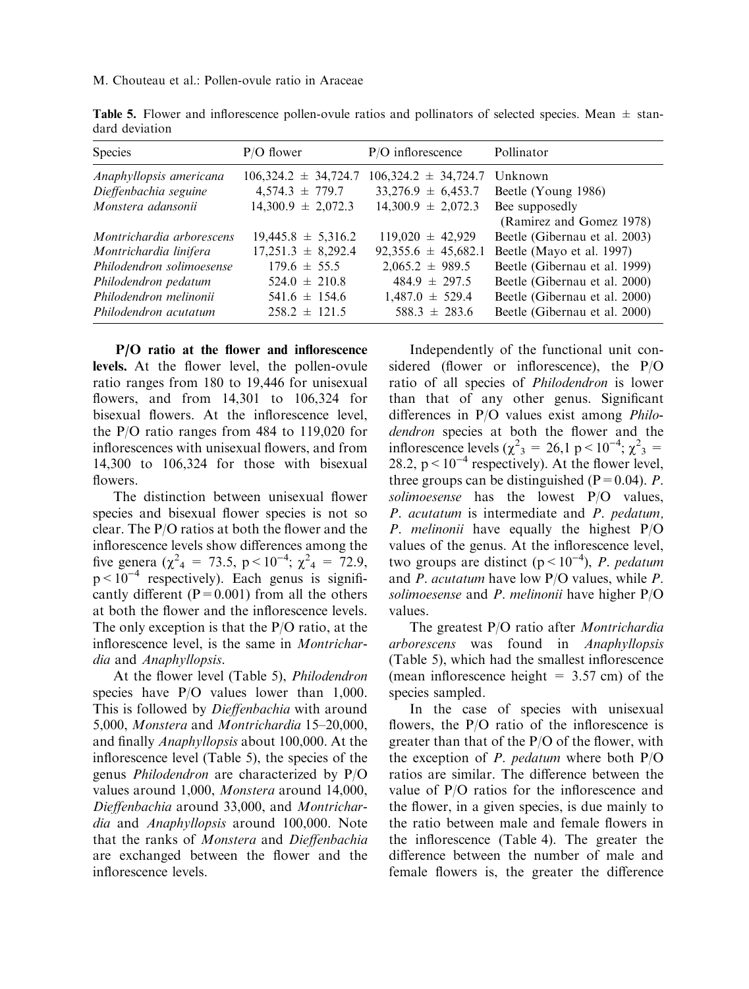M. Chouteau et al.: Pollen-ovule ratio in Araceae

| Species                                                                                                                                                     | $P/O$ flower                                                                                                                        | $P/O$ inflorescence                                                                                                                     | Pollinator                                                                                                                                                                                                                 |
|-------------------------------------------------------------------------------------------------------------------------------------------------------------|-------------------------------------------------------------------------------------------------------------------------------------|-----------------------------------------------------------------------------------------------------------------------------------------|----------------------------------------------------------------------------------------------------------------------------------------------------------------------------------------------------------------------------|
| Anaphyllopsis americana<br>Dieffenbachia seguine<br>Monstera adansonii                                                                                      | $106,324.2 \pm 34,724.7$<br>$4,574.3 \pm 779.7$<br>$14,300.9 \pm 2,072.3$                                                           | $106,324.2 \pm 34,724.7$<br>$33,276.9 \pm 6,453.7$<br>$14,300.9 \pm 2,072.3$                                                            | Unknown<br>Beetle (Young 1986)<br>Bee supposedly                                                                                                                                                                           |
| Montrichardia arborescens<br>Montrichardia linifera<br>Philodendron solimoesense<br>Philodendron pedatum<br>Philodendron melinonii<br>Philodendron acutatum | $19,445.8 \pm 5,316.2$<br>$17,251.3 \pm 8,292.4$<br>$179.6 \pm 55.5$<br>$524.0 \pm 210.8$<br>$541.6 \pm 154.6$<br>$258.2 \pm 121.5$ | $119,020 \pm 42,929$<br>$92,355.6 \pm 45,682.1$<br>$2,065.2 \pm 989.5$<br>$484.9 \pm 297.5$<br>$1,487.0 \pm 529.4$<br>$588.3 \pm 283.6$ | (Ramirez and Gomez 1978)<br>Beetle (Gibernau et al. 2003)<br>Beetle (Mayo et al. 1997)<br>Beetle (Gibernau et al. 1999)<br>Beetle (Gibernau et al. 2000)<br>Beetle (Gibernau et al. 2000)<br>Beetle (Gibernau et al. 2000) |

**Table 5.** Flower and inflorescence pollen-ovule ratios and pollinators of selected species. Mean  $\pm$  standard deviation

P/O ratio at the flower and inflorescence levels. At the flower level, the pollen-ovule ratio ranges from 180 to 19,446 for unisexual flowers, and from 14,301 to 106,324 for bisexual flowers. At the inflorescence level, the P/O ratio ranges from 484 to 119,020 for inflorescences with unisexual flowers, and from 14,300 to 106,324 for those with bisexual flowers.

The distinction between unisexual flower species and bisexual flower species is not so clear. The P/O ratios at both the flower and the inflorescence levels show differences among the five genera ( $\chi^2$ <sub>4</sub> = 73.5, p < 10<sup>-4</sup>;  $\chi^2$ <sub>4</sub> = 72.9,  $p < 10^{-4}$  respectively). Each genus is significantly different ( $P = 0.001$ ) from all the others at both the flower and the inflorescence levels. The only exception is that the P/O ratio, at the inflorescence level, is the same in Montrichardia and Anaphyllopsis.

At the flower level (Table 5), Philodendron species have P/O values lower than 1,000. This is followed by *Dieffenbachia* with around 5,000, Monstera and Montrichardia 15–20,000, and finally Anaphyllopsis about 100,000. At the inflorescence level (Table 5), the species of the genus Philodendron are characterized by P/O values around 1,000, Monstera around 14,000, Dieffenbachia around 33,000, and Montrichardia and Anaphyllopsis around 100,000. Note that the ranks of Monstera and Dieffenbachia are exchanged between the flower and the inflorescence levels.

Independently of the functional unit considered (flower or inflorescence), the P/O ratio of all species of Philodendron is lower than that of any other genus. Significant differences in P/O values exist among Philodendron species at both the flower and the inflorescence levels ( $\chi^2$ <sub>3</sub> = 26,1 p < 10<sup>-4</sup>;  $\chi^2$ <sub>3</sub> = 28.2,  $p < 10^{-4}$  respectively). At the flower level, three groups can be distinguished ( $P=0.04$ ). P. solimoesense has the lowest P/O values, P. acutatum is intermediate and P. pedatum, P. melinonii have equally the highest P/O values of the genus. At the inflorescence level, two groups are distinct ( $p < 10^{-4}$ ), *P. pedatum* and P. acutatum have low P/O values, while P. solimoesense and P. melinonii have higher P/O values.

The greatest P/O ratio after *Montrichardia* arborescens was found in Anaphyllopsis (Table 5), which had the smallest inflorescence (mean inflorescence height  $= 3.57$  cm) of the species sampled.

In the case of species with unisexual flowers, the P/O ratio of the inflorescence is greater than that of the P/O of the flower, with the exception of *P. pedatum* where both  $P/O$ ratios are similar. The difference between the value of P/O ratios for the inflorescence and the flower, in a given species, is due mainly to the ratio between male and female flowers in the inflorescence (Table 4). The greater the difference between the number of male and female flowers is, the greater the difference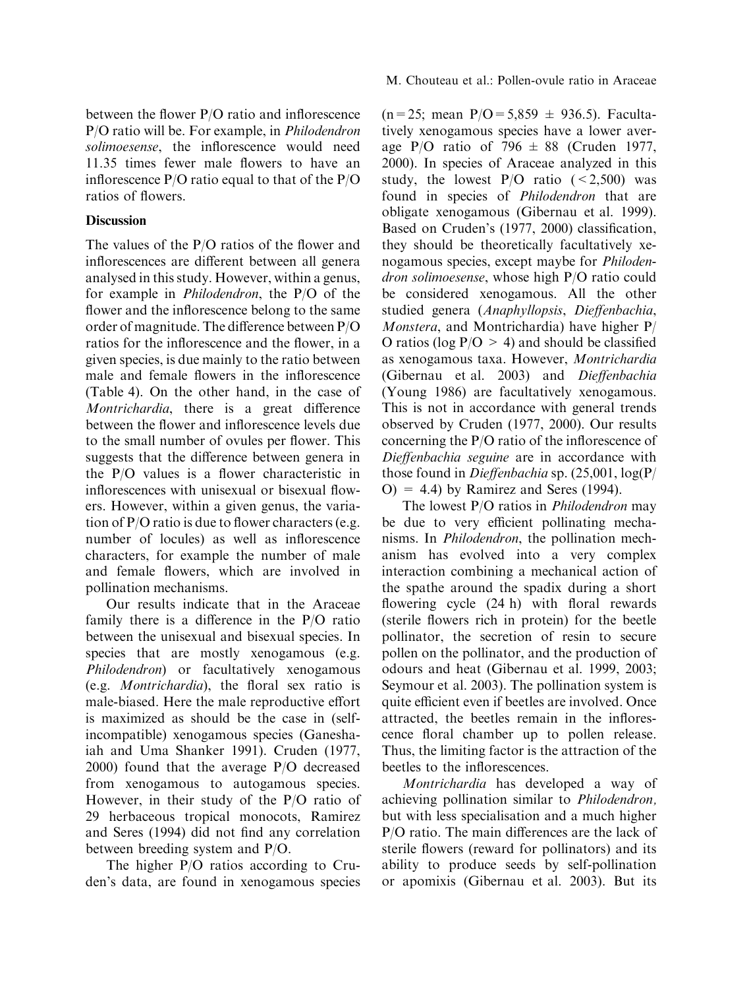between the flower P/O ratio and inflorescence P/O ratio will be. For example, in Philodendron solimoesense, the inflorescence would need 11.35 times fewer male flowers to have an inflorescence P/O ratio equal to that of the P/O ratios of flowers.

# Discussion

The values of the P/O ratios of the flower and inflorescences are different between all genera analysed in this study. However, within a genus, for example in Philodendron, the P/O of the flower and the inflorescence belong to the same order of magnitude. The difference between P/O ratios for the inflorescence and the flower, in a given species, is due mainly to the ratio between male and female flowers in the inflorescence (Table 4). On the other hand, in the case of Montrichardia, there is a great difference between the flower and inflorescence levels due to the small number of ovules per flower. This suggests that the difference between genera in the P/O values is a flower characteristic in inflorescences with unisexual or bisexual flowers. However, within a given genus, the variation of P/O ratio is due to flower characters (e.g. number of locules) as well as inflorescence characters, for example the number of male and female flowers, which are involved in pollination mechanisms.

Our results indicate that in the Araceae family there is a difference in the P/O ratio between the unisexual and bisexual species. In species that are mostly xenogamous (e.g. Philodendron) or facultatively xenogamous (e.g. Montrichardia), the floral sex ratio is male-biased. Here the male reproductive effort is maximized as should be the case in (selfincompatible) xenogamous species (Ganeshaiah and Uma Shanker 1991). Cruden (1977, 2000) found that the average P/O decreased from xenogamous to autogamous species. However, in their study of the P/O ratio of 29 herbaceous tropical monocots, Ramirez and Seres (1994) did not find any correlation between breeding system and P/O.

The higher P/O ratios according to Cruden's data, are found in xenogamous species  $(n=25; \text{ mean } P/O = 5,859 \pm 936.5)$ . Facultatively xenogamous species have a lower average P/O ratio of 796  $\pm$  88 (Cruden 1977, 2000). In species of Araceae analyzed in this study, the lowest  $P/O$  ratio  $( $2,500$ )$  was found in species of *Philodendron* that are obligate xenogamous (Gibernau et al. 1999). Based on Cruden's (1977, 2000) classification, they should be theoretically facultatively xenogamous species, except maybe for Philodendron solimoesense, whose high P/O ratio could be considered xenogamous. All the other studied genera (Anaphyllopsis, Dieffenbachia, Monstera, and Montrichardia) have higher P/ O ratios (log  $P/O > 4$ ) and should be classified as xenogamous taxa. However, Montrichardia (Gibernau et al. 2003) and Dieffenbachia (Young 1986) are facultatively xenogamous. This is not in accordance with general trends observed by Cruden (1977, 2000). Our results concerning the P/O ratio of the inflorescence of Dieffenbachia seguine are in accordance with those found in Dieffenbachia sp. (25,001, log(P/  $O$  = 4.4) by Ramirez and Seres (1994).

The lowest P/O ratios in *Philodendron* may be due to very efficient pollinating mechanisms. In Philodendron, the pollination mechanism has evolved into a very complex interaction combining a mechanical action of the spathe around the spadix during a short flowering cycle (24 h) with floral rewards (sterile flowers rich in protein) for the beetle pollinator, the secretion of resin to secure pollen on the pollinator, and the production of odours and heat (Gibernau et al. 1999, 2003; Seymour et al. 2003). The pollination system is quite efficient even if beetles are involved. Once attracted, the beetles remain in the inflorescence floral chamber up to pollen release. Thus, the limiting factor is the attraction of the beetles to the inflorescences.

Montrichardia has developed a way of achieving pollination similar to Philodendron, but with less specialisation and a much higher P/O ratio. The main differences are the lack of sterile flowers (reward for pollinators) and its ability to produce seeds by self-pollination or apomixis (Gibernau et al. 2003). But its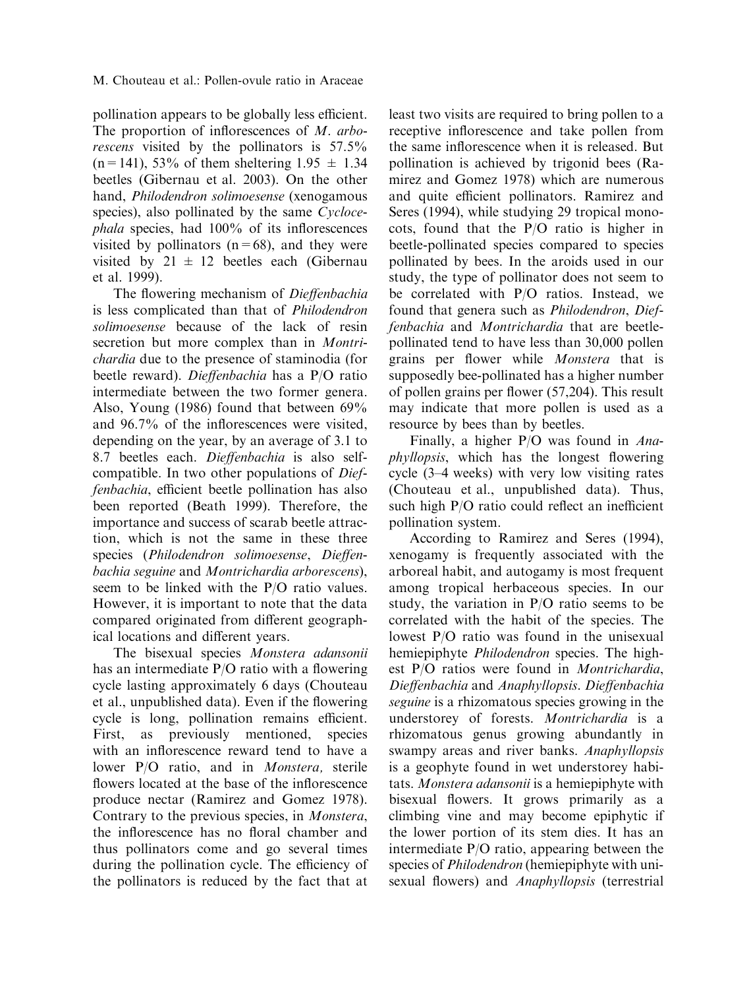### M. Chouteau et al.: Pollen-ovule ratio in Araceae

pollination appears to be globally less efficient. The proportion of inflorescences of M. arborescens visited by the pollinators is 57.5%  $(n=141)$ , 53% of them sheltering 1.95  $\pm$  1.34 beetles (Gibernau et al. 2003). On the other hand, Philodendron solimoesense (xenogamous species), also pollinated by the same Cyclocephala species, had 100% of its inflorescences visited by pollinators  $(n=68)$ , and they were visited by  $21 \pm 12$  beetles each (Gibernau et al. 1999).

The flowering mechanism of Dieffenbachia is less complicated than that of Philodendron solimoesense because of the lack of resin secretion but more complex than in *Montri*chardia due to the presence of staminodia (for beetle reward). Dieffenbachia has a P/O ratio intermediate between the two former genera. Also, Young (1986) found that between 69% and 96.7% of the inflorescences were visited, depending on the year, by an average of 3.1 to 8.7 beetles each. Dieffenbachia is also selfcompatible. In two other populations of Dieffenbachia, efficient beetle pollination has also been reported (Beath 1999). Therefore, the importance and success of scarab beetle attraction, which is not the same in these three species (Philodendron solimoesense, Dieffenbachia seguine and Montrichardia arborescens), seem to be linked with the P/O ratio values. However, it is important to note that the data compared originated from different geographical locations and different years.

The bisexual species Monstera adansonii has an intermediate P/O ratio with a flowering cycle lasting approximately 6 days (Chouteau et al., unpublished data). Even if the flowering cycle is long, pollination remains efficient. First, as previously mentioned, species with an inflorescence reward tend to have a lower P/O ratio, and in Monstera, sterile flowers located at the base of the inflorescence produce nectar (Ramirez and Gomez 1978). Contrary to the previous species, in Monstera, the inflorescence has no floral chamber and thus pollinators come and go several times during the pollination cycle. The efficiency of the pollinators is reduced by the fact that at least two visits are required to bring pollen to a receptive inflorescence and take pollen from the same inflorescence when it is released. But pollination is achieved by trigonid bees (Ramirez and Gomez 1978) which are numerous and quite efficient pollinators. Ramirez and Seres (1994), while studying 29 tropical monocots, found that the P/O ratio is higher in beetle-pollinated species compared to species pollinated by bees. In the aroids used in our study, the type of pollinator does not seem to be correlated with P/O ratios. Instead, we found that genera such as Philodendron, Dieffenbachia and Montrichardia that are beetlepollinated tend to have less than 30,000 pollen grains per flower while Monstera that is supposedly bee-pollinated has a higher number of pollen grains per flower (57,204). This result may indicate that more pollen is used as a resource by bees than by beetles.

Finally, a higher P/O was found in Anaphyllopsis, which has the longest flowering cycle (3–4 weeks) with very low visiting rates (Chouteau et al., unpublished data). Thus, such high P/O ratio could reflect an inefficient pollination system.

According to Ramirez and Seres (1994), xenogamy is frequently associated with the arboreal habit, and autogamy is most frequent among tropical herbaceous species. In our study, the variation in P/O ratio seems to be correlated with the habit of the species. The lowest P/O ratio was found in the unisexual hemiepiphyte *Philodendron* species. The highest P/O ratios were found in Montrichardia, Dieffenbachia and Anaphyllopsis. Dieffenbachia seguine is a rhizomatous species growing in the understorey of forests. Montrichardia is a rhizomatous genus growing abundantly in swampy areas and river banks. Anaphyllopsis is a geophyte found in wet understorey habitats. Monstera adansonii is a hemiepiphyte with bisexual flowers. It grows primarily as a climbing vine and may become epiphytic if the lower portion of its stem dies. It has an intermediate P/O ratio, appearing between the species of *Philodendron* (hemiepiphyte with unisexual flowers) and Anaphyllopsis (terrestrial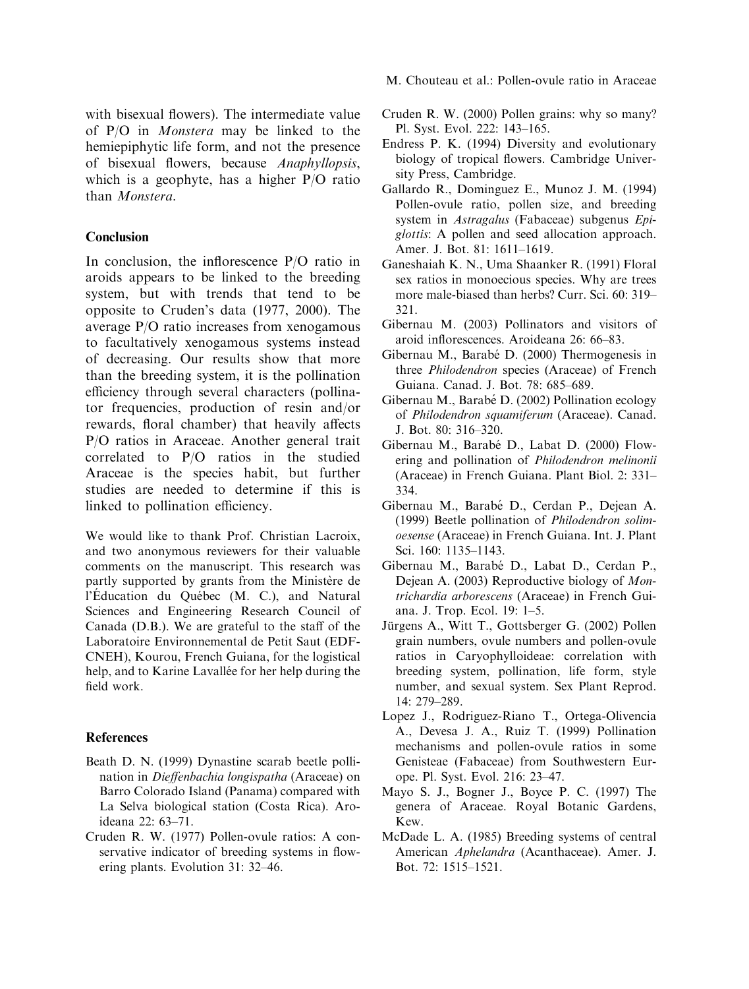with bisexual flowers). The intermediate value of P/O in Monstera may be linked to the hemiepiphytic life form, and not the presence of bisexual flowers, because Anaphyllopsis, which is a geophyte, has a higher P/O ratio than Monstera.

## Conclusion

In conclusion, the inflorescence P/O ratio in aroids appears to be linked to the breeding system, but with trends that tend to be opposite to Cruden's data (1977, 2000). The average P/O ratio increases from xenogamous to facultatively xenogamous systems instead of decreasing. Our results show that more than the breeding system, it is the pollination efficiency through several characters (pollinator frequencies, production of resin and/or rewards, floral chamber) that heavily affects P/O ratios in Araceae. Another general trait correlated to P/O ratios in the studied Araceae is the species habit, but further studies are needed to determine if this is linked to pollination efficiency.

We would like to thank Prof. Christian Lacroix, and two anonymous reviewers for their valuable comments on the manuscript. This research was partly supported by grants from the Ministère de l'Éducation du Québec (M. C.), and Natural Sciences and Engineering Research Council of Canada (D.B.). We are grateful to the staff of the Laboratoire Environnemental de Petit Saut (EDF-CNEH), Kourou, French Guiana, for the logistical help, and to Karine Lavallée for her help during the field work.

#### References

- Beath D. N. (1999) Dynastine scarab beetle pollination in Dieffenbachia longispatha (Araceae) on Barro Colorado Island (Panama) compared with La Selva biological station (Costa Rica). Aroideana 22: 63–71.
- Cruden R. W. (1977) Pollen-ovule ratios: A conservative indicator of breeding systems in flowering plants. Evolution 31: 32–46.
- M. Chouteau et al.: Pollen-ovule ratio in Araceae
- Cruden R. W. (2000) Pollen grains: why so many? Pl. Syst. Evol. 222: 143–165.
- Endress P. K. (1994) Diversity and evolutionary biology of tropical flowers. Cambridge University Press, Cambridge.
- Gallardo R., Dominguez E., Munoz J. M. (1994) Pollen-ovule ratio, pollen size, and breeding system in Astragalus (Fabaceae) subgenus Epiglottis: A pollen and seed allocation approach. Amer. J. Bot. 81: 1611–1619.
- Ganeshaiah K. N., Uma Shaanker R. (1991) Floral sex ratios in monoecious species. Why are trees more male-biased than herbs? Curr. Sci. 60: 319– 321.
- Gibernau M. (2003) Pollinators and visitors of aroid inflorescences. Aroideana 26: 66–83.
- Gibernau M., Barabé D. (2000) Thermogenesis in three Philodendron species (Araceae) of French Guiana. Canad. J. Bot. 78: 685–689.
- Gibernau M., Barabé D. (2002) Pollination ecology of Philodendron squamiferum (Araceae). Canad. J. Bot. 80: 316–320.
- Gibernau M., Barabé D., Labat D. (2000) Flowering and pollination of Philodendron melinonii (Araceae) in French Guiana. Plant Biol. 2: 331– 334.
- Gibernau M., Barabé D., Cerdan P., Dejean A. (1999) Beetle pollination of Philodendron solimoesense (Araceae) in French Guiana. Int. J. Plant Sci. 160: 1135–1143.
- Gibernau M., Barabé D., Labat D., Cerdan P., Dejean A. (2003) Reproductive biology of Montrichardia arborescens (Araceae) in French Guiana. J. Trop. Ecol. 19: 1–5.
- Jürgens A., Witt T., Gottsberger G. (2002) Pollen grain numbers, ovule numbers and pollen-ovule ratios in Caryophylloideae: correlation with breeding system, pollination, life form, style number, and sexual system. Sex Plant Reprod. 14: 279–289.
- Lopez J., Rodriguez-Riano T., Ortega-Olivencia A., Devesa J. A., Ruiz T. (1999) Pollination mechanisms and pollen-ovule ratios in some Genisteae (Fabaceae) from Southwestern Europe. Pl. Syst. Evol. 216: 23–47.
- Mayo S. J., Bogner J., Boyce P. C. (1997) The genera of Araceae. Royal Botanic Gardens, Kew.
- McDade L. A. (1985) Breeding systems of central American Aphelandra (Acanthaceae). Amer. J. Bot. 72: 1515–1521.